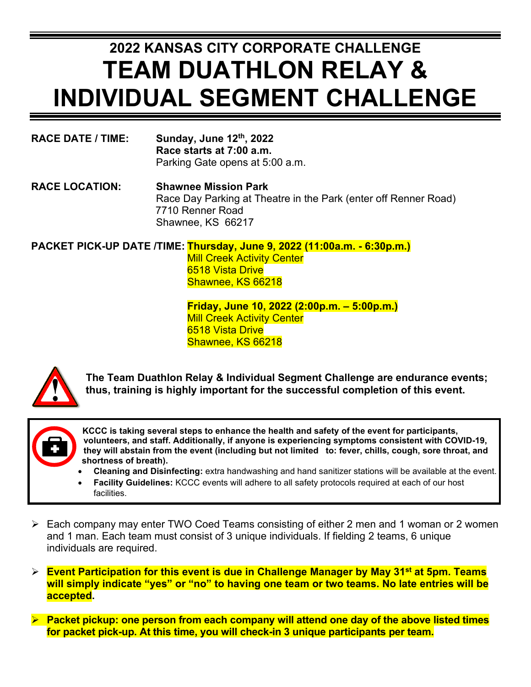## **2022 KANSAS CITY CORPORATE CHALLENGE TEAM DUATHLON RELAY & INDIVIDUAL SEGMENT CHALLENGE**

| <b>RACE DATE / TIME:</b> | Sunday, June 12th, 2022         |
|--------------------------|---------------------------------|
|                          | Race starts at 7:00 a.m.        |
|                          | Parking Gate opens at 5:00 a.m. |

**RACE LOCATION: Shawnee Mission Park** Race Day Parking at Theatre in the Park (enter off Renner Road) 7710 Renner Road Shawnee, KS 66217

**PACKET PICK-UP DATE /TIME: Thursday, June 9, 2022 (11:00a.m. - 6:30p.m.) Mill Creek Activity Center** 6518 Vista Drive Shawnee, KS 66218

> **Friday, June 10, 2022 (2:00p.m. – 5:00p.m.) Mill Creek Activity Center** 6518 Vista Drive Shawnee, KS 66218



**The Team Duathlon Relay & Individual Segment Challenge are endurance events; thus, training is highly important for the successful completion of this event.** 

**KCCC is taking several steps to enhance the health and safety of the event for participants, volunteers, and staff. Additionally, if anyone is experiencing symptoms consistent with COVID-19, they will abstain from the event (including but not limited to: fever, chills, cough, sore throat, and shortness of breath).**

- **Cleaning and Disinfecting:** extra handwashing and hand sanitizer stations will be available at the event.
- **Facility Guidelines:** KCCC events will adhere to all safety protocols required at each of our host facilities.
- Each company may enter TWO Coed Teams consisting of either 2 men and 1 woman or 2 women and 1 man. Each team must consist of 3 unique individuals. If fielding 2 teams, 6 unique individuals are required.
- **Event Participation for this event is due in Challenge Manager by May 31st at 5pm. Teams will simply indicate "yes" or "no" to having one team or two teams. No late entries will be accepted.**
- **Packet pickup: one person from each company will attend one day of the above listed times for packet pick-up. At this time, you will check-in 3 unique participants per team.**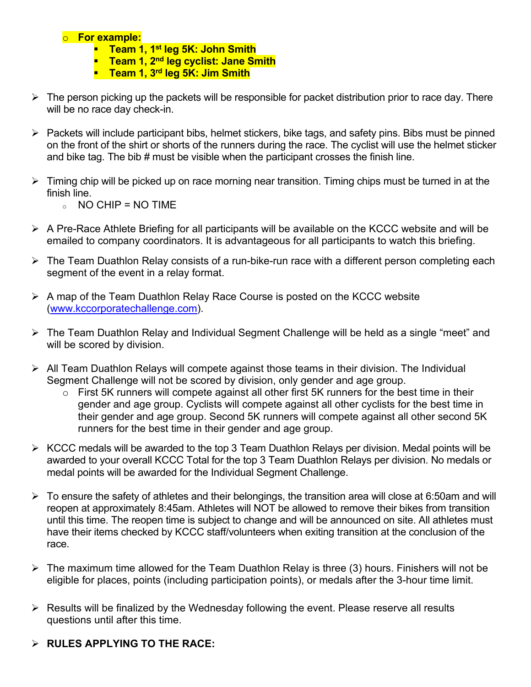## o **For example:**

- **Team 1, 1st leg 5K: John Smith**
- **Team 1, 2nd leg cyclist: Jane Smith**
- **Team 1, 3rd leg 5K: Jim Smith**
- $\triangleright$  The person picking up the packets will be responsible for packet distribution prior to race day. There will be no race day check-in.
- $\triangleright$  Packets will include participant bibs, helmet stickers, bike tags, and safety pins. Bibs must be pinned on the front of the shirt or shorts of the runners during the race. The cyclist will use the helmet sticker and bike tag. The bib # must be visible when the participant crosses the finish line.
- $\triangleright$  Timing chip will be picked up on race morning near transition. Timing chips must be turned in at the finish line.
	- $\circ$  NO CHIP = NO TIME
- $\triangleright$  A Pre-Race Athlete Briefing for all participants will be available on the KCCC website and will be emailed to company coordinators. It is advantageous for all participants to watch this briefing.
- The Team Duathlon Relay consists of a run-bike-run race with a different person completing each segment of the event in a relay format.
- $\triangleright$  A map of the Team Duathlon Relay Race Course is posted on the KCCC website [\(www.kccorporatechallenge.com\)](http://www.kccorporatechallenge.com/).
- The Team Duathlon Relay and Individual Segment Challenge will be held as a single "meet" and will be scored by division.
- $\triangleright$  All Team Duathlon Relays will compete against those teams in their division. The Individual Segment Challenge will not be scored by division, only gender and age group.
	- o First 5K runners will compete against all other first 5K runners for the best time in their gender and age group. Cyclists will compete against all other cyclists for the best time in their gender and age group. Second 5K runners will compete against all other second 5K runners for the best time in their gender and age group.
- $\triangleright$  KCCC medals will be awarded to the top 3 Team Duathlon Relays per division. Medal points will be awarded to your overall KCCC Total for the top 3 Team Duathlon Relays per division. No medals or medal points will be awarded for the Individual Segment Challenge.
- $\triangleright$  To ensure the safety of athletes and their belongings, the transition area will close at 6:50am and will reopen at approximately 8:45am. Athletes will NOT be allowed to remove their bikes from transition until this time. The reopen time is subject to change and will be announced on site. All athletes must have their items checked by KCCC staff/volunteers when exiting transition at the conclusion of the race.
- $\triangleright$  The maximum time allowed for the Team Duathlon Relay is three (3) hours. Finishers will not be eligible for places, points (including participation points), or medals after the 3-hour time limit.
- $\triangleright$  Results will be finalized by the Wednesday following the event. Please reserve all results questions until after this time.
- **RULES APPLYING TO THE RACE:**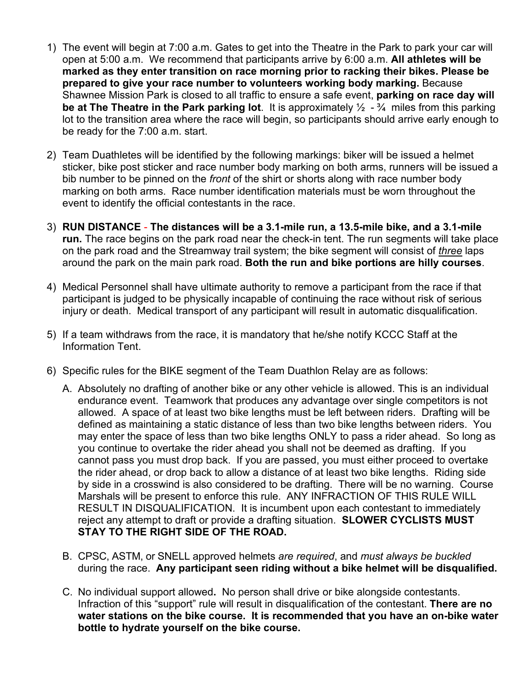- 1) The event will begin at 7:00 a.m. Gates to get into the Theatre in the Park to park your car will open at 5:00 a.m. We recommend that participants arrive by 6:00 a.m. **All athletes will be marked as they enter transition on race morning prior to racking their bikes. Please be prepared to give your race number to volunteers working body marking.** Because Shawnee Mission Park is closed to all traffic to ensure a safe event, **parking on race day will be at The Theatre in the Park parking lot**. It is approximately ½ - ¾ miles from this parking lot to the transition area where the race will begin, so participants should arrive early enough to be ready for the 7:00 a.m. start.
- 2) Team Duathletes will be identified by the following markings: biker will be issued a helmet sticker, bike post sticker and race number body marking on both arms, runners will be issued a bib number to be pinned on the *front* of the shirt or shorts along with race number body marking on both arms. Race number identification materials must be worn throughout the event to identify the official contestants in the race.
- 3) **RUN DISTANCE The distances will be a 3.1-mile run, a 13.5-mile bike, and a 3.1-mile run.** The race begins on the park road near the check-in tent. The run segments will take place on the park road and the Streamway trail system; the bike segment will consist of *three* laps around the park on the main park road. **Both the run and bike portions are hilly courses**.
- 4) Medical Personnel shall have ultimate authority to remove a participant from the race if that participant is judged to be physically incapable of continuing the race without risk of serious injury or death. Medical transport of any participant will result in automatic disqualification.
- 5) If a team withdraws from the race, it is mandatory that he/she notify KCCC Staff at the Information Tent.
- 6) Specific rules for the BIKE segment of the Team Duathlon Relay are as follows:
	- A. Absolutely no drafting of another bike or any other vehicle is allowed. This is an individual endurance event. Teamwork that produces any advantage over single competitors is not allowed. A space of at least two bike lengths must be left between riders. Drafting will be defined as maintaining a static distance of less than two bike lengths between riders. You may enter the space of less than two bike lengths ONLY to pass a rider ahead. So long as you continue to overtake the rider ahead you shall not be deemed as drafting. If you cannot pass you must drop back. If you are passed, you must either proceed to overtake the rider ahead, or drop back to allow a distance of at least two bike lengths. Riding side by side in a crosswind is also considered to be drafting. There will be no warning. Course Marshals will be present to enforce this rule. ANY INFRACTION OF THIS RULE WILL RESULT IN DISQUALIFICATION. It is incumbent upon each contestant to immediately reject any attempt to draft or provide a drafting situation. **SLOWER CYCLISTS MUST STAY TO THE RIGHT SIDE OF THE ROAD.**
	- B. CPSC, ASTM, or SNELL approved helmets *are required*, and *must always be buckled* during the race. **Any participant seen riding without a bike helmet will be disqualified.**
	- C. No individual support allowed**.** No person shall drive or bike alongside contestants. Infraction of this "support" rule will result in disqualification of the contestant. **There are no water stations on the bike course. It is recommended that you have an on-bike water bottle to hydrate yourself on the bike course.**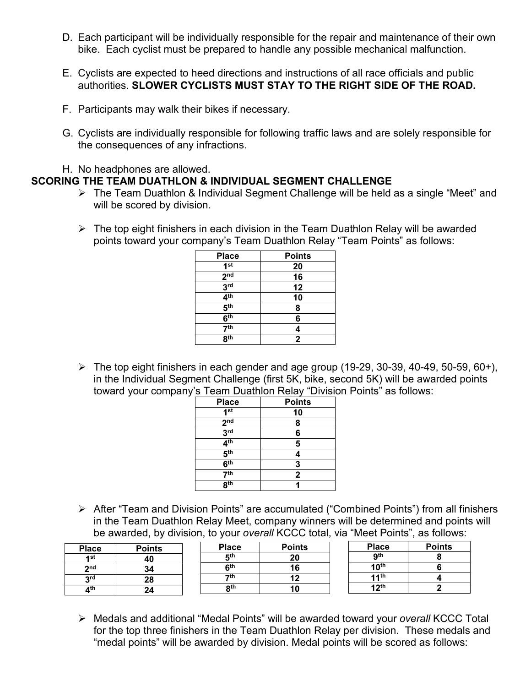- D. Each participant will be individually responsible for the repair and maintenance of their own bike. Each cyclist must be prepared to handle any possible mechanical malfunction.
- E. Cyclists are expected to heed directions and instructions of all race officials and public authorities. **SLOWER CYCLISTS MUST STAY TO THE RIGHT SIDE OF THE ROAD.**
- F. Participants may walk their bikes if necessary.
- G. Cyclists are individually responsible for following traffic laws and are solely responsible for the consequences of any infractions.
- H. No headphones are allowed.

## **SCORING THE TEAM DUATHLON & INDIVIDUAL SEGMENT CHALLENGE**

- The Team Duathlon & Individual Segment Challenge will be held as a single "Meet" and will be scored by division.
- $\triangleright$  The top eight finishers in each division in the Team Duathlon Relay will be awarded points toward your company's Team Duathlon Relay "Team Points" as follows:

| <b>Place</b>                 | <b>Points</b> |
|------------------------------|---------------|
| 1 <sup>st</sup>              | 20            |
| 2 <sub>nd</sub>              | 16            |
| 3 <sup>rd</sup>              | 12            |
| 4 <sup>th</sup>              | 10            |
| $\overline{5}$ <sup>th</sup> | 8             |
| 6 <sup>th</sup>              | 6             |
| $\overline{7}$ th            | 4             |
| 8 <sup>th</sup>              | $\mathbf{2}$  |

 $\triangleright$  The top eight finishers in each gender and age group (19-29, 30-39, 40-49, 50-59, 60+), in the Individual Segment Challenge (first 5K, bike, second 5K) will be awarded points toward your company's Team Duathlon Relay "Division Points" as follows:

| <b>Place</b>               | <b>Points</b> |
|----------------------------|---------------|
| 1 <sup>st</sup>            | 10            |
| $2^{\overline{\text{nd}}}$ | 8             |
| 3 <sup>rd</sup>            | 6             |
| 4 <sup>th</sup>            | 5             |
| 5 <sup>th</sup>            | 4             |
| 6 <sup>th</sup>            | 3             |
| 7 <sup>th</sup>            | $\mathbf{2}$  |
| $\overline{R^{th}}$        |               |

 After "Team and Division Points" are accumulated ("Combined Points") from all finishers in the Team Duathlon Relay Meet, company winners will be determined and points will be awarded, by division, to your *overall* KCCC total, via "Meet Points", as follows:

| <b>Place</b> | <b>Points</b> | <b>Place</b>       | <b>Points</b> | <b>Place</b>     | <b>Points</b> |
|--------------|---------------|--------------------|---------------|------------------|---------------|
| 1st          | 40            | <b>Eth</b>         | 20            | <b>ath</b>       |               |
| $2n$ d       | 34            | cth                | 16            | 10 <sup>th</sup> |               |
| 2rd          | 28            | $\mathbf{\tau}$ th |               | 44th             |               |
| ⊿th          | 24            | oth                | ΙU            | 1 2th            |               |

 Medals and additional "Medal Points" will be awarded toward your *overall* KCCC Total for the top three finishers in the Team Duathlon Relay per division. These medals and "medal points" will be awarded by division. Medal points will be scored as follows: